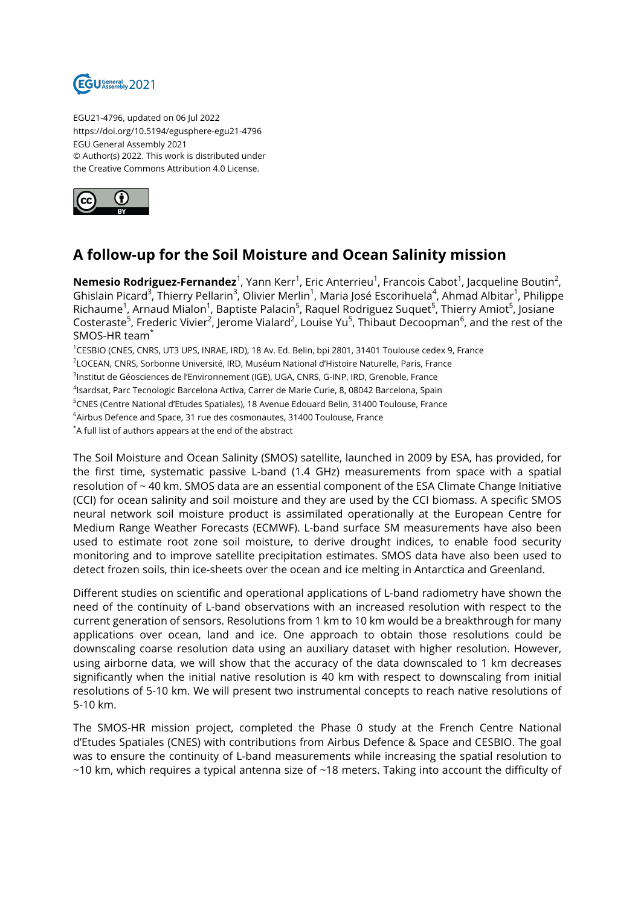

EGU21-4796, updated on 06 Jul 2022 https://doi.org/10.5194/egusphere-egu21-4796 EGU General Assembly 2021 © Author(s) 2022. This work is distributed under the Creative Commons Attribution 4.0 License.



## **A follow-up for the Soil Moisture and Ocean Salinity mission**

**Nemesio Rodriguez-Fernandez**<sup>1</sup>, Yann Kerr<sup>1</sup>, Eric Anterrieu<sup>1</sup>, Francois Cabot<sup>1</sup>, Jacqueline Boutin<sup>2</sup>, Ghislain Picard<sup>3</sup>, Thierry Pellarin<sup>3</sup>, Olivier Merlin<sup>1</sup>, Maria José Escorihuela<sup>4</sup>, Ahmad Albitar<sup>1</sup>, Philippe Richaume<sup>1</sup>, Arnaud Mialon<sup>1</sup>, Baptiste Palacin<sup>5</sup>, Raquel Rodriguez Suquet<sup>5</sup>, Thierry Amiot<sup>5</sup>, Josiane Costeraste $^5$ , Frederic Vivier $^2$ , Jerome Vialard $^2$ , Louise Yu $^5$ , Thibaut Decoopman $^6$ , and the rest of the SMOS-HR team\*

<sup>1</sup>CESBIO (CNES, CNRS, UT3 UPS, INRAE, IRD), 18 Av. Ed. Belin, bpi 2801, 31401 Toulouse cedex 9, France 2 LOCEAN, CNRS, Sorbonne Université, IRD, Muséum National d'Histoire Naturelle, Paris, France <sup>3</sup>lnstitut de Géosciences de l'Environnement (IGE), UGA, CNRS, G-INP, IRD, Grenoble, France <sup>4</sup>lsardsat, Parc Tecnologic Barcelona Activa, Carrer de Marie Curie, 8, 08042 Barcelona, Spain <sup>5</sup>CNES (Centre National d'Etudes Spatiales), 18 Avenue Edouard Belin, 31400 Toulouse, France <sup>6</sup>Airbus Defence and Space, 31 rue des cosmonautes, 31400 Toulouse, France \*A full list of authors appears at the end of the abstract

The Soil Moisture and Ocean Salinity (SMOS) satellite, launched in 2009 by ESA, has provided, for the first time, systematic passive L-band (1.4 GHz) measurements from space with a spatial resolution of ~ 40 km. SMOS data are an essential component of the ESA Climate Change Initiative (CCI) for ocean salinity and soil moisture and they are used by the CCI biomass. A specific SMOS neural network soil moisture product is assimilated operationally at the European Centre for Medium Range Weather Forecasts (ECMWF). L-band surface SM measurements have also been used to estimate root zone soil moisture, to derive drought indices, to enable food security monitoring and to improve satellite precipitation estimates. SMOS data have also been used to detect frozen soils, thin ice-sheets over the ocean and ice melting in Antarctica and Greenland.

Different studies on scientific and operational applications of L-band radiometry have shown the need of the continuity of L-band observations with an increased resolution with respect to the current generation of sensors. Resolutions from 1 km to 10 km would be a breakthrough for many applications over ocean, land and ice. One approach to obtain those resolutions could be downscaling coarse resolution data using an auxiliary dataset with higher resolution. However, using airborne data, we will show that the accuracy of the data downscaled to 1 km decreases significantly when the initial native resolution is 40 km with respect to downscaling from initial resolutions of 5-10 km. We will present two instrumental concepts to reach native resolutions of 5-10 km.

The SMOS-HR mission project, completed the Phase 0 study at the French Centre National d'Etudes Spatiales (CNES) with contributions from Airbus Defence & Space and CESBIO. The goal was to ensure the continuity of L-band measurements while increasing the spatial resolution to  $\sim$ 10 km, which requires a typical antenna size of  $\sim$ 18 meters. Taking into account the difficulty of